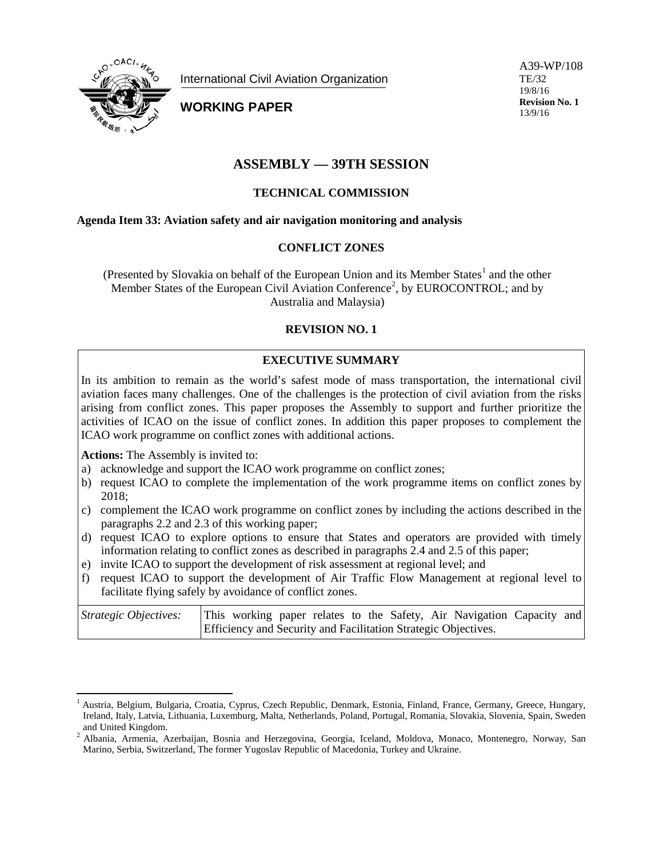

International Civil Aviation Organization

**WORKING PAPER**

A39-WP/108 TE/32 19/8/16 **Revision No. 1** 13/9/16

# **ASSEMBLY — 39TH SESSION**

## **TECHNICAL COMMISSION**

#### **Agenda Item 33: Aviation safety and air navigation monitoring and analysis**

#### **CONFLICT ZONES**

(Presented by Slovakia on behalf of the European Union and its Member States<sup>[1](#page-0-0)</sup> and the other Member States of the European Civil Aviation Conference<sup>[2](#page-0-1)</sup>, by EUROCONTROL; and by Australia and Malaysia)

#### **REVISION NO. 1**

## **EXECUTIVE SUMMARY**

In its ambition to remain as the world's safest mode of mass transportation, the international civil aviation faces many challenges. One of the challenges is the protection of civil aviation from the risks arising from conflict zones. This paper proposes the Assembly to support and further prioritize the activities of ICAO on the issue of conflict zones. In addition this paper proposes to complement the ICAO work programme on conflict zones with additional actions.

**Actions:** The Assembly is invited to:

- a) acknowledge and support the ICAO work programme on conflict zones;
- b) request ICAO to complete the implementation of the work programme items on conflict zones by 2018;
- c) complement the ICAO work programme on conflict zones by including the actions described in the paragraphs 2.2 and 2.3 of this working paper;
- d) request ICAO to explore options to ensure that States and operators are provided with timely information relating to conflict zones as described in paragraphs 2.4 and 2.5 of this paper;
- e) invite ICAO to support the development of risk assessment at regional level; and
- f) request ICAO to support the development of Air Traffic Flow Management at regional level to facilitate flying safely by avoidance of conflict zones.

| Strategic Objectives: |  |  |  |  | This working paper relates to the Safety, Air Navigation Capacity and |  |
|-----------------------|--|--|--|--|-----------------------------------------------------------------------|--|
|                       |  |  |  |  | <b>Efficiency and Security and Facilitation Strategic Objectives.</b> |  |

<span id="page-0-0"></span><sup>&</sup>lt;sup>1</sup> Austria, Belgium, Bulgaria, Croatia, Cyprus, Czech Republic, Denmark, Estonia, Finland, France, Germany, Greece, Hungary, Ireland, Italy, Latvia, Lithuania, Luxemburg, Malta, Netherlands, Poland, Portugal, Romania, Slovakia, Slovenia, Spain, Sweden and United Kingdom. 2 Albania, Armenia, Azerbaijan, Bosnia and Herzegovina, Georgia, Iceland, Moldova, Monaco, Montenegro, Norway, San

<span id="page-0-1"></span>Marino, Serbia, Switzerland, The former Yugoslav Republic of Macedonia, Turkey and Ukraine.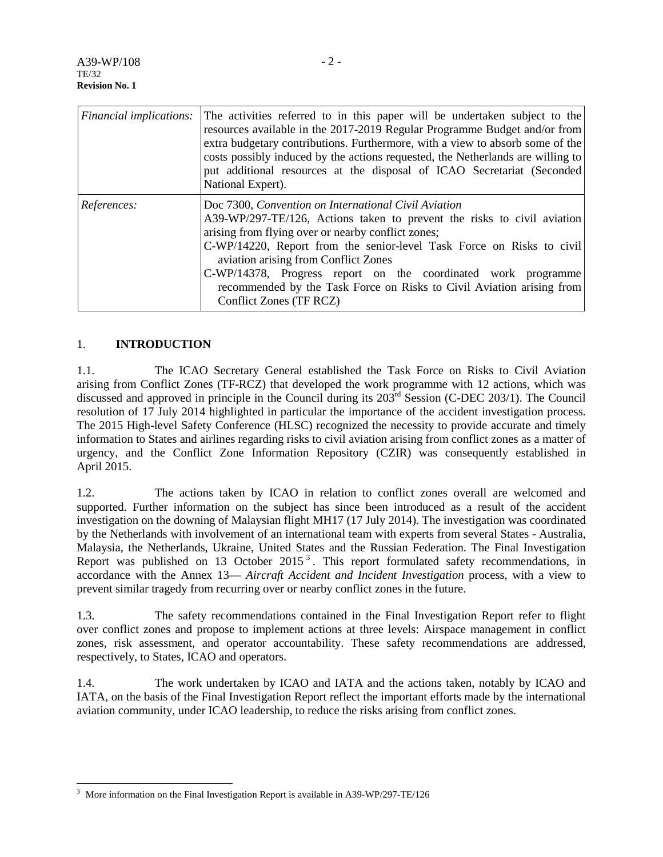| <i>Financial implications:</i> | The activities referred to in this paper will be undertaken subject to the<br>resources available in the 2017-2019 Regular Programme Budget and/or from<br>extra budgetary contributions. Furthermore, with a view to absorb some of the<br>costs possibly induced by the actions requested, the Netherlands are willing to<br>put additional resources at the disposal of ICAO Secretariat (Seconded)<br>National Expert).                                                 |
|--------------------------------|-----------------------------------------------------------------------------------------------------------------------------------------------------------------------------------------------------------------------------------------------------------------------------------------------------------------------------------------------------------------------------------------------------------------------------------------------------------------------------|
| References:                    | Doc 7300, Convention on International Civil Aviation<br>A39-WP/297-TE/126, Actions taken to prevent the risks to civil aviation<br>arising from flying over or nearby conflict zones;<br>C-WP/14220, Report from the senior-level Task Force on Risks to civil<br>aviation arising from Conflict Zones<br>C-WP/14378, Progress report on the coordinated work programme<br>recommended by the Task Force on Risks to Civil Aviation arising from<br>Conflict Zones (TF RCZ) |

## 1. **INTRODUCTION**

1.1. The ICAO Secretary General established the Task Force on Risks to Civil Aviation arising from Conflict Zones (TF-RCZ) that developed the work programme with 12 actions, which was discussed and approved in principle in the Council during its 203rd Session (C-DEC 203/1). The Council resolution of 17 July 2014 highlighted in particular the importance of the accident investigation process. The 2015 High-level Safety Conference (HLSC) recognized the necessity to provide accurate and timely information to States and airlines regarding risks to civil aviation arising from conflict zones as a matter of urgency, and the Conflict Zone Information Repository (CZIR) was consequently established in April 2015.

1.2. The actions taken by ICAO in relation to conflict zones overall are welcomed and supported. Further information on the subject has since been introduced as a result of the accident investigation on the downing of Malaysian flight MH17 (17 July 2014). The investigation was coordinated by the Netherlands with involvement of an international team with experts from several States - Australia, Malaysia, the Netherlands, Ukraine, United States and the Russian Federation. The Final Investigation Report was published on 1[3](#page-1-0) October 2015<sup>3</sup>. This report formulated safety recommendations, in accordance with the Annex 13— *Aircraft Accident and Incident Investigation* process, with a view to prevent similar tragedy from recurring over or nearby conflict zones in the future.

1.3. The safety recommendations contained in the Final Investigation Report refer to flight over conflict zones and propose to implement actions at three levels: Airspace management in conflict zones, risk assessment, and operator accountability. These safety recommendations are addressed, respectively, to States, ICAO and operators.

1.4. The work undertaken by ICAO and IATA and the actions taken, notably by ICAO and IATA, on the basis of the Final Investigation Report reflect the important efforts made by the international aviation community, under ICAO leadership, to reduce the risks arising from conflict zones.

<span id="page-1-0"></span><sup>&</sup>lt;sup>3</sup> More information on the Final Investigation Report is available in A39-WP/297-TE/126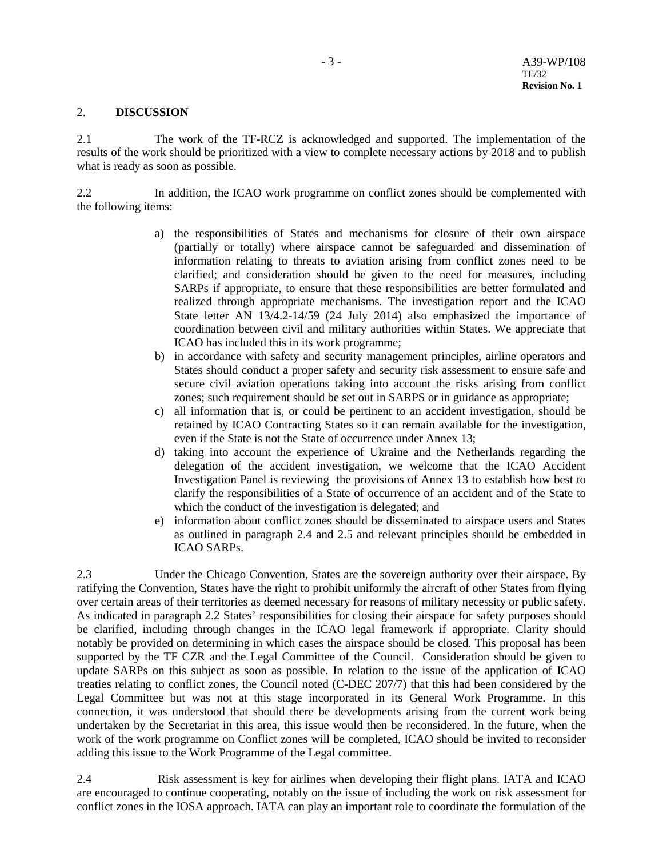### 2. **DISCUSSION**

2.1 The work of the TF-RCZ is acknowledged and supported. The implementation of the results of the work should be prioritized with a view to complete necessary actions by 2018 and to publish what is ready as soon as possible.

2.2 In addition, the ICAO work programme on conflict zones should be complemented with the following items:

- a) the responsibilities of States and mechanisms for closure of their own airspace (partially or totally) where airspace cannot be safeguarded and dissemination of information relating to threats to aviation arising from conflict zones need to be clarified; and consideration should be given to the need for measures, including SARPs if appropriate, to ensure that these responsibilities are better formulated and realized through appropriate mechanisms. The investigation report and the ICAO State letter AN 13/4.2-14/59 (24 July 2014) also emphasized the importance of coordination between civil and military authorities within States. We appreciate that ICAO has included this in its work programme;
- b) in accordance with safety and security management principles, airline operators and States should conduct a proper safety and security risk assessment to ensure safe and secure civil aviation operations taking into account the risks arising from conflict zones; such requirement should be set out in SARPS or in guidance as appropriate;
- c) all information that is, or could be pertinent to an accident investigation, should be retained by ICAO Contracting States so it can remain available for the investigation, even if the State is not the State of occurrence under Annex 13;
- d) taking into account the experience of Ukraine and the Netherlands regarding the delegation of the accident investigation, we welcome that the ICAO Accident Investigation Panel is reviewing the provisions of Annex 13 to establish how best to clarify the responsibilities of a State of occurrence of an accident and of the State to which the conduct of the investigation is delegated; and
- e) information about conflict zones should be disseminated to airspace users and States as outlined in paragraph 2.4 and 2.5 and relevant principles should be embedded in ICAO SARPs.

2.3 Under the Chicago Convention, States are the sovereign authority over their airspace. By ratifying the Convention, States have the right to prohibit uniformly the aircraft of other States from flying over certain areas of their territories as deemed necessary for reasons of military necessity or public safety. As indicated in paragraph 2.2 States' responsibilities for closing their airspace for safety purposes should be clarified, including through changes in the ICAO legal framework if appropriate. Clarity should notably be provided on determining in which cases the airspace should be closed. This proposal has been supported by the TF CZR and the Legal Committee of the Council. Consideration should be given to update SARPs on this subject as soon as possible. In relation to the issue of the application of ICAO treaties relating to conflict zones, the Council noted (C-DEC 207/7) that this had been considered by the Legal Committee but was not at this stage incorporated in its General Work Programme. In this connection, it was understood that should there be developments arising from the current work being undertaken by the Secretariat in this area, this issue would then be reconsidered. In the future, when the work of the work programme on Conflict zones will be completed, ICAO should be invited to reconsider adding this issue to the Work Programme of the Legal committee.

2.4 Risk assessment is key for airlines when developing their flight plans. IATA and ICAO are encouraged to continue cooperating, notably on the issue of including the work on risk assessment for conflict zones in the IOSA approach. IATA can play an important role to coordinate the formulation of the